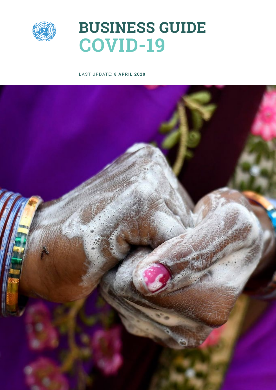

# **BUSINESS GUIDE COVID-19**

#### LAST UPDATE: **8 APRIL 2020**

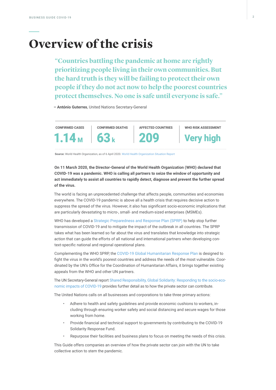# **Overview of the crisis**

**"Countries battling the pandemic at home are rightly prioritizing people living in their own communities. But the hard truth is they will be failing to protect their own people if they do not act now to help the poorest countries protect themselves. No one is safe until everyone is safe."**

**– António Guterres**, United Nations Secretary-General



**Source:** World Health Organization, as of 6 April 2020. [World Health Organization Situation Report](https://experience.arcgis.com/experience/685d0ace521648f8a5beeeee1b9125cd)

**On 11 March 2020, the Director-General of the World Health Organization (WHO) declared that COVID-19 was a pandemic. WHO is calling all partners to seize the window of opportunity and act immediately to assist all countries to rapidly detect, diagnose and prevent the further spread of the virus.** 

The world is facing an unprecedented challenge that affects people, communities and economies everywhere. The COVID-19 pandemic is above all a health crisis that requires decisive action to suppress the spread of the virus. However, it also has significant socio-economic implications that are particularly devastating to micro-, small- and medium-sized enterprises (MSMEs).

WHO has developed [a Strategic Preparedness and Response Plan \(SPRP\)](https://www.who.int/docs/default-source/coronaviruse/srp-04022020.pdf) to help stop further transmission of COVID-19 and to mitigate the impact of the outbreak in all countries. The SPRP takes what has been learned so far about the virus and translates that knowledge into strategic action that can guide the efforts of all national and international partners when developing context-specific national and regional operational plans.

Complementing the WHO SPRP, the [COVID-19 Global Humanitarian Response Plan](https://www.unocha.org/sites/unocha/files/Global-Humanitarian-Response-Plan-COVID-19.pdf) is designed to fight the virus in the world's poorest countries and address the needs of the most vulnerable. Coordinated by the UN's Office for the Coordination of Humanitarian Affairs, it brings together existing appeals from the WHO and other UN partners.

The UN Secretary-General repor[t Shared Responsibility, Global Solidarity: Responding to the socio-eco](http://www.un.org/sites/un2.un.org/files/sg_report_socio-economic_impact_of_covid19.pdf)[nomic impacts of COVID-19](http://www.un.org/sites/un2.un.org/files/sg_report_socio-economic_impact_of_covid19.pdf) provides further detail as to how the private sector can contribute.

The United Nations calls on all businesses and corporations to take three primary actions:

- Adhere to health and safety guidelines and provide economic cushions to workers, including through ensuring worker safety and social distancing and secure wages for those working from home.
- Provide financial and technical support to governments by contributing to the COVID-19 Solidarity Response Fund.
- Repurpose their facilities and business plans to focus on meeting the needs of this crisis.

This Guide offers companies an overview of how the private sector can join with the UN to take collective action to stem the pandemic.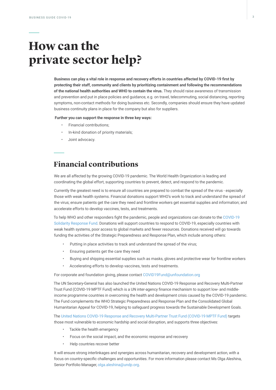## **How can the private sector help?**

**Business can play a vital role in response and recovery efforts in countries affected by COVID-19 first by protecting their staff, community and clients by prioritizing containment and following the recommendations of the national health authorities and WHO to contain the virus.** They should raise awareness of transmission and prevention and put in place policies and guidance, e.g. on travel, telecommuting, social distancing, reporting symptoms, non-contact methods for doing business etc. Secondly, companies should ensure they have updated business continuity plans in place for the company but also for suppliers.

 **Further you can support the response in three key ways:** 

- Financial contributions;
- In-kind donation of priority materials;
- Joint advocacy.

### **Financial contributions**

We are all affected by the growing COVID-19 pandemic. The World Health Organization is leading and coordinating the global effort, supporting countries to prevent, detect, and respond to the pandemic.

Currently the greatest need is to ensure all countries are prepared to combat the spread of the virus - especially those with weak health systems. Financial donations support WHO's work to track and understand the spread of the virus; ensure patients get the care they need and frontline workers get essential supplies and information; and accelerate efforts to develop vaccines, tests, and treatments.

To help WHO and other responders fight the pandemic, people and organizations can donate to the [COVID-19](http://www.COVID19ResponseFund.org)  [Solidarity Response Fund](http://www.COVID19ResponseFund.org). Donations will support countries to respond to COVID-19, especially countries with weak health systems, poor access to global markets and fewer resources. Donations received will go towards funding the activities of the Strategic Preparedness and Response Plan, which include among others:

- Putting in place activities to track and understand the spread of the virus;
- Ensuring patients get the care they need
- Buying and shipping essential supplies such as masks, gloves and protective wear for frontline workers
- Accelerating efforts to develop vaccines, tests and treatments.

For corporate and foundation giving, please contact COVID19Fund@unfoundation.org

The UN Secretary-General has also launched the United Nations COVID-19 Response and Recovery Multi-Partner Trust Fund (COVID-19 MPTF Fund) which is a UN inter-agency finance mechanism to support low- and middleincome programme countries in overcoming the health and development crisis caused by the COVID-19 pandemic. The Fund complements the WHO Strategic Preparedness and Response Plan and the Consolidated Global Humanitarian Appeal for COVID-19, helping to safeguard progress towards the Sustainable Development Goals.

The [United Nations COVID-19 Response and Recovery Multi-Partner Trust Fund \(COVID-19 MPTF Fund\)](https://reliefweb.int/report/world/un-launches-global-fund-fight-coronavirus-and-build-back-better) targets those most vulnerable to economic hardship and social disruption, and supports three objectives:

- Tackle the health emergency
- Focus on the social impact, and the economic response and recovery
- Help countries recover better

It will ensure strong interlinkages and synergies across humanitarian, recovery and development action, with a focus on country-specific challenges and opportunities. For more information please contact Ms Olga Aleshina, Senior Portfolio Manager, olga.aleshina@undp.org.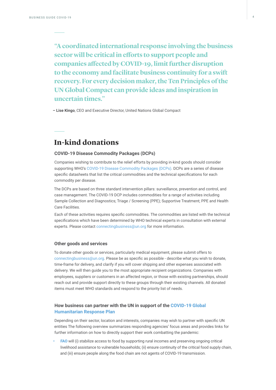**"A coordinated international response involving the business sector will be critical in efforts to support people and companies affected by COVID-19, limit further disruption to the economy and facilitate business continuity for a swift recovery. For every decision maker, the Ten Principles of the UN Global Compact can provide ideas and inspiration in uncertain times."** 

**– Lise Kingo**, CEO and Executive Director, United Nations Global Compact

### **In-kind donations**

#### **COVID-19 Disease Commodity Packages (DCPs)**

Companies wishing to contribute to the relief efforts by providing in-kind goods should consider supporting WHO's [COVID-19 Disease Commodity Packages \(DCPs\).](https://www.who.int/emergencies/what-we-do/prevention-readiness/disease-commodity-packages/dcp-ncov.pdf?ua=1) DCPs are a series of disease specific datasheets that list the critical commodities and the technical specifications for each commodity per disease.

The DCPs are based on three standard intervention pillars: surveillance, prevention and control, and case management. The COVID-19 DCP includes commodities for a range of activities including Sample Collection and Diagnostics; Triage / Screening (PPE); Supportive Treatment; PPE and Health Care Facilities.

Each of these activities requires specific commodities. [The commodities are listed with the technical](https://www.who.int/emergencies/what-we-do/prevention-readiness/disease-commodity-packages/dcp-ncov.pdf?ua=1)  specifications [which have been determined by WHO technical experts in consultation with external](https://www.who.int/emergencies/what-we-do/prevention-readiness/disease-commodity-packages/dcp-ncov.pdf?ua=1)  [experts. P](https://www.who.int/emergencies/what-we-do/prevention-readiness/disease-commodity-packages/dcp-ncov.pdf?ua=1)lease contact connectingbusiness@un.org for more information.

#### **Other goods and services**

To donate other goods or services, particularly medical equipment, please submit offers to connectingbusiness@un.org. Please be as specific as possible - describe what you wish to donate, time-frame for delivery, and clarify if you will cover shipping and other expenses associated with delivery. We will then guide you to the most appropriate recipient organizations. Companies with employees, suppliers or customers in an affected region, or those with existing partnerships, should reach out and provide support directly to these groups through their existing channels. All donated items must meet WHO standards and respond to the priority list of needs.

#### **How business can partner with the UN in support of the [COVID-19 Global](https://www.unocha.org/sites/unocha/files/Global-Humanitarian-Response-Plan-COVID-19.pdf)  [Humanitarian Response Plan](https://www.unocha.org/sites/unocha/files/Global-Humanitarian-Response-Plan-COVID-19.pdf)**

Depending on their sector, location and interests, companies may wish to partner with specific UN entities The following overview summarizes responding agencies' focus areas and provides links for further information on how to directly support their work combatting the pandemic:

**• [FAO](http://www.fao.org/home/en/)** will (i) stabilize access to food by supporting rural incomes and preserving ongoing critical livelihood assistance to vulnerable households; (ii) ensure continuity of the critical food supply chain, and (iii) ensure people along the food chain are not agents of COVID-19 transmission.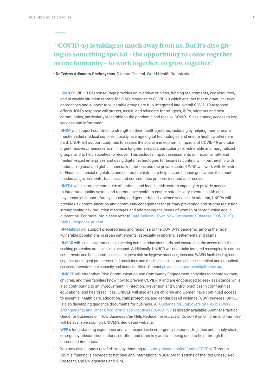**"COVID-19 is taking so much away from us. But it's also giving us something special – the opportunity to come together as one humanity – to work together, to grow together."**

**– Dr Tedros Adhanom Ghebreyesus**, Director-General, World Health Organization

- **•• IOM['s COVID-19 Response P](https://www.iom.int/iom-responds-covid-19)age provides an overview of plans, funding requirements, key resources,** and bi-weekly situation reports for IOM's response to COVID-19 which ensures that migrant-inclusive approaches and support to vulnerable groups are fully integrated into overall COVID-19 response efforts. IOM's response will protect, assist, and advocate for refugees, IDPs, migrants and host communities, particularly vulnerable to the pandemic and receive COVID-19 assistance, access to key services and information.
- **• [UNDP](https://www.undp.org/content/undp/en/home/coronavirus.html)** will support countries to strengthen their health systems, including by helping them procure much-needed medical supplies, quickly leverage digital technologies and ensure health workers are paid. UNDP will support countries to assess the social and economic impacts of COVID-19 and take urgent recovery measures to minimize long-term impact, particularly for vulnerable and marginalized groups, and to help societies to recover. This includes impact assessments on micro-, small-, and medium-sized enterprises and using digital technologies for business continuity. In partnership with national, regional and global financial institutions and the private sector, UNDP will work with Ministries of Finance, financial regulators and sectoral ministries to help ensure finance gets where it is most needed as governments, business, and communities prepare, respond and recover.
- **• [UNFPA](https://www.unfpa.org/updates/safe-delivery-even-now-unfpa-coronavirus-disease-covid-19-global-response-appeal)** will ensure the continuity of national and local health system capacity to provide access to integrated quality sexual and reproductive health to ensure safe delivery, mental health and psychosocial support, family planning and gender-based violence services. In addition, UNFPA will provide risk communication and community engagement for primary prevention and stigma reduction, strengthening risk-reduction messages and addressing the needs of women of reproductive age in quarantine. For more info please refer to [Safe Delivery - Even Now Coronavirus Disease \(COVID- 19\)](https://www.unfpa.org/updates/safe-delivery-even-now-unfpa-coronavirus-disease-covid-19-global-response-appeal)  [Global Response Appeal](https://www.unfpa.org/updates/safe-delivery-even-now-unfpa-coronavirus-disease-covid-19-global-response-appeal)
- **• [UN-Habitat](https://unhabitat.org/)** will support preparedness and response to the COVID-19 pandemic among the most vulnerable populations in urban settlements, especially in informal settlements and slums.
- **• [UNHCR](http://www.unhcr.org/)** will assist governments in meeting humanitarian standards and ensure that the needs of all those seeking protection are taken into account. Additionally, UNHCR will undertake targeted messaging in camps, settlements and host communities at highest risk on hygiene practices; increase WASH facilities, hygiene supplies and urgent procurement of medicines and medical supplies; and enhance inpatient and outpatient services, intensive care capacity and burial facilities. Contact privatesectorpartnership@unhcr.org.
- **• [UNICEF](www.unicef.org/coronavirus/covid-19)** will strengthen Risk Communication and Community Engagement activities to ensure women, children, and their families know how to prevent COVID-19 and are encouraged to seek assistance while also contributing to an improvement in Infection, Prevention and Control practices in communities, educational and health facilities. UNICEF will also ensure children and women have continued access to essential health care, education, child protection, and gender based violence (GBV) services. UNICEF is also developing guidance documents for business. A ["Guidance for Employers on Flexible Work](https://www.unicef.org/media/66351/file/Family-friendly-policies-covid-19-guidance-2020.pdf)  [Arrangements and Other Good Workplace Practices \(COVID-19\)" i](https://www.unicef.org/media/66351/file/Family-friendly-policies-covid-19-guidance-2020.pdf)s already available. Another Practical Guide for Business on 'How Business Can Help Reduce the Impact of Covid-19 on children and Families' will be available soon on UNICEF's dedicated website.
- **• [WFP](https://www.wfp.org/emergencies/covid-19-pandemic)**'s long-standing experience and vast expertise in emergency response, logistics and supply chain, emergency telecommunications, nutrition and other key areas, is being used to help through this unprecedented crisis.
- You may also support relief efforts by donating to [country-based pooled funds \(CBPF's\)](https://www.unocha.org/our-work/humanitarian-financing/country-based-pooled-funds-cbpf/how-support-country-based-pooled). Through CBPF's, funding is provided to national and international NGOs, organizations of the Red Cross / Red Crescent, and UN agencies and IOM.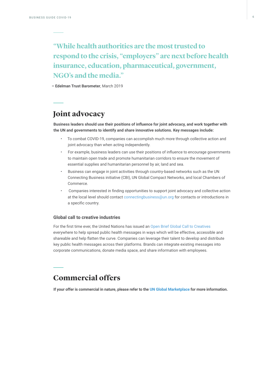### **"While health authorities are the most trusted to respond to the crisis, "employers" are next before health insurance, education, pharmaceutical, government, NGO's and the media."**

**– Edelman Trust Barometer**, March 2019

### **Joint advocacy**

**Business leaders should use their positions of influence for joint advocacy, and work together with the UN and governments to identify and share innovative solutions. Key messages include:**

- To combat COVID-19, companies can accomplish much more through collective action and joint advocacy than when acting independently.
- For example, business leaders can use their positions of influence to encourage governments to maintain open trade and promote humanitarian corridors to ensure the movement of essential supplies and humanitarian personnel by air, land and sea.
- Business can engage in joint activities through country-based networks such as the UN Connecting Business initiative (CBI), UN Global Compact Networks, and local Chambers of Commerce.
- Companies interested in finding opportunities to support joint advocacy and collective action at the local level should contact connectingbusiness@un.org for contacts or introductions in a specific country.

#### **Global call to creative industries**

For the first time ever, the United Nations has issued an [Open Brief Global Call to Creatives](https://www.talenthouse.com/i/united-nations-global-call-out-to-creatives-help-stop-the-spread-of-covid-19)  everywhere to help spread public health messages in ways which will be effective, accessible and shareable and help flatten the curve. Companies can leverage their talent to develop and distribute key public health messages across their platforms. Brands can integrate existing messages into corporate communications, donate media space, and share information with employees.

### **Commercial offers**

**If your offer is commercial in nature, please refer to the [UN Global Marketplace](http://www.ungm.org) for more information.**